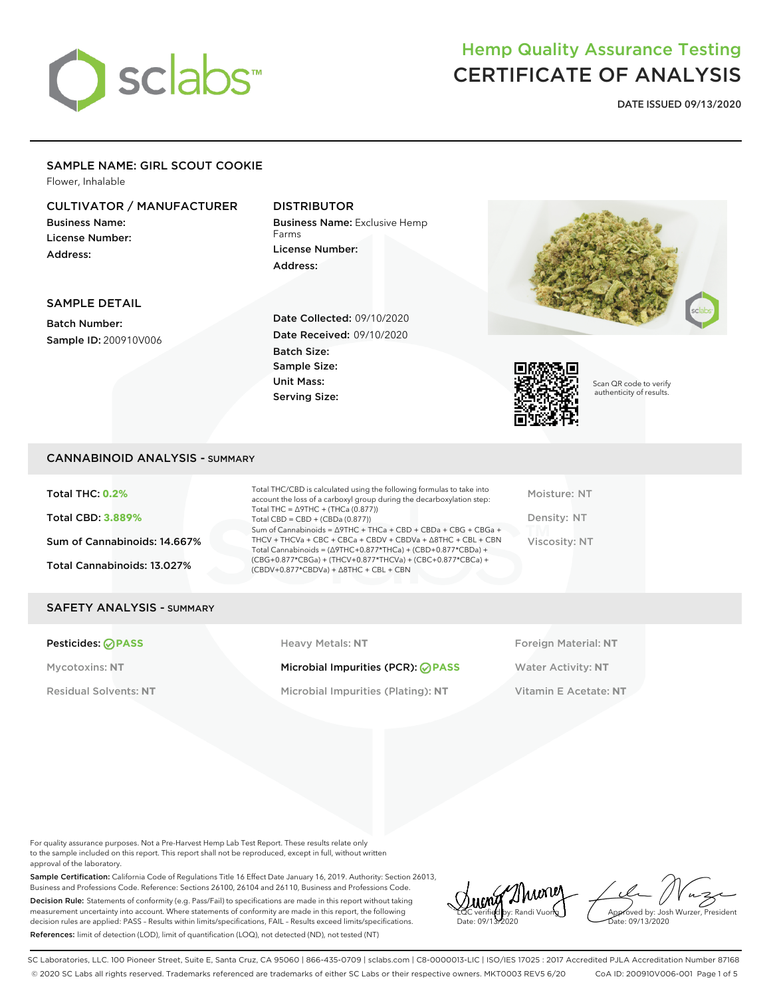

**DATE ISSUED 09/13/2020**

#### SAMPLE NAME: GIRL SCOUT COOKIE

Flower, Inhalable

### CULTIVATOR / MANUFACTURER

Business Name: License Number: Address:

### DISTRIBUTOR

Business Name: Exclusive Hemp Farms License Number: Address:



#### SAMPLE DETAIL

Batch Number: Sample ID: 200910V006 Date Collected: 09/10/2020 Date Received: 09/10/2020 Batch Size: Sample Size: Unit Mass: Serving Size:



Scan QR code to verify authenticity of results.

#### CANNABINOID ANALYSIS - SUMMARY

Total THC: **0.2%** Total CBD: **3.889%** Sum of Cannabinoids: 14.667% Total Cannabinoids: 13.027%

Total THC/CBD is calculated using the following formulas to take into account the loss of a carboxyl group during the decarboxylation step: Total THC = ∆9THC + (THCa (0.877)) Total  $CBD = CBD + (CBDa (0.877))$ Sum of Cannabinoids = ∆9THC + THCa + CBD + CBDa + CBG + CBGa + THCV + THCVa + CBC + CBCa + CBDV + CBDVa + ∆8THC + CBL + CBN Total Cannabinoids = (∆9THC+0.877\*THCa) + (CBD+0.877\*CBDa) + (CBG+0.877\*CBGa) + (THCV+0.877\*THCVa) + (CBC+0.877\*CBCa) + (CBDV+0.877\*CBDVa) + ∆8THC + CBL + CBN

Moisture: NT Density: NT Viscosity: NT

#### SAFETY ANALYSIS - SUMMARY

**Pesticides: PASS Heavy Metals: NT Heavy Metals: NT Foreign Material: NT** 

Mycotoxins: NT Microbial Impurities (PCR): **⊘PASS** Water Activity: NT

Residual Solvents: **NT** Microbial Impurities (Plating): **NT** Vitamin E Acetate: **NT**

For quality assurance purposes. Not a Pre-Harvest Hemp Lab Test Report. These results relate only to the sample included on this report. This report shall not be reproduced, except in full, without written approval of the laboratory.

Sample Certification: California Code of Regulations Title 16 Effect Date January 16, 2019. Authority: Section 26013, Business and Professions Code. Reference: Sections 26100, 26104 and 26110, Business and Professions Code. Decision Rule: Statements of conformity (e.g. Pass/Fail) to specifications are made in this report without taking measurement uncertainty into account. Where statements of conformity are made in this report, the following decision rules are applied: PASS – Results within limits/specifications, FAIL – Results exceed limits/specifications. References: limit of detection (LOD), limit of quantification (LOQ), not detected (ND), not tested (NT)

Thuney LQC verified by: Randi Vuong Date: 09/13/2020

Approved by: Josh Wurzer, President ate: 09/13/2020

SC Laboratories, LLC. 100 Pioneer Street, Suite E, Santa Cruz, CA 95060 | 866-435-0709 | sclabs.com | C8-0000013-LIC | ISO/IES 17025 : 2017 Accredited PJLA Accreditation Number 87168 © 2020 SC Labs all rights reserved. Trademarks referenced are trademarks of either SC Labs or their respective owners. MKT0003 REV5 6/20 CoA ID: 200910V006-001 Page 1 of 5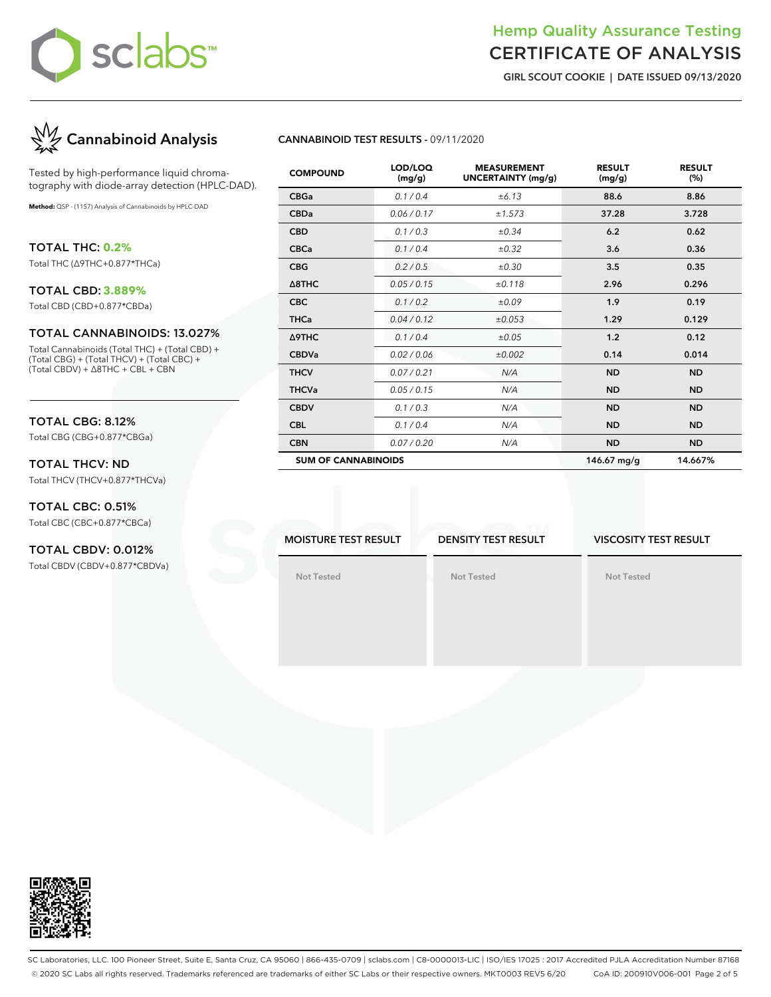

**GIRL SCOUT COOKIE | DATE ISSUED 09/13/2020**



Tested by high-performance liquid chromatography with diode-array detection (HPLC-DAD).

**Method:** QSP - (1157) Analysis of Cannabinoids by HPLC-DAD

TOTAL THC: **0.2%**

Total THC (∆9THC+0.877\*THCa)

### TOTAL CBD: **3.889%**

Total CBD (CBD+0.877\*CBDa)

#### TOTAL CANNABINOIDS: 13.027%

Total Cannabinoids (Total THC) + (Total CBD) + (Total CBG) + (Total THCV) + (Total CBC) + (Total CBDV) + ∆8THC + CBL + CBN

### TOTAL CBG: 8.12%

Total CBG (CBG+0.877\*CBGa)

#### TOTAL THCV: ND Total THCV (THCV+0.877\*THCVa)

TOTAL CBC: 0.51% Total CBC (CBC+0.877\*CBCa)

## TOTAL CBDV: 0.012%

Total CBDV (CBDV+0.877\*CBDVa)

#### **CANNABINOID TEST RESULTS -** 09/11/2020

| <b>COMPOUND</b>            | LOD/LOQ<br>(mg/g) | <b>MEASUREMENT</b><br><b>UNCERTAINTY (mg/g)</b> | <b>RESULT</b><br>(mg/g) | <b>RESULT</b><br>(%) |
|----------------------------|-------------------|-------------------------------------------------|-------------------------|----------------------|
| <b>CBGa</b>                | 0.1 / 0.4         | ±6.13                                           | 88.6                    | 8.86                 |
| <b>CBDa</b>                | 0.06 / 0.17       | ±1.573                                          | 37.28                   | 3.728                |
| <b>CBD</b>                 | 0.1 / 0.3         | $\pm 0.34$                                      | 6.2                     | 0.62                 |
| <b>CBCa</b>                | 0.1/0.4           | $\pm 0.32$                                      | 3.6                     | 0.36                 |
| <b>CBG</b>                 | 0.2 / 0.5         | $\pm 0.30$                                      | 3.5                     | 0.35                 |
| $\triangle$ 8THC           | 0.05 / 0.15       | ±0.118                                          | 2.96                    | 0.296                |
| <b>CBC</b>                 | 0.1 / 0.2         | ±0.09                                           | 1.9                     | 0.19                 |
| <b>THCa</b>                | 0.04/0.12         | ±0.053                                          | 1.29                    | 0.129                |
| Δ9THC                      | 0.1 / 0.4         | $\pm 0.05$                                      | 1.2                     | 0.12                 |
| <b>CBDVa</b>               | 0.02 / 0.06       | ±0.002                                          | 0.14                    | 0.014                |
| <b>THCV</b>                | 0.07/0.21         | N/A                                             | <b>ND</b>               | <b>ND</b>            |
| <b>THCVa</b>               | 0.05 / 0.15       | N/A                                             | <b>ND</b>               | <b>ND</b>            |
| <b>CBDV</b>                | 0.1 / 0.3         | N/A                                             | <b>ND</b>               | <b>ND</b>            |
| <b>CBL</b>                 | 0.1 / 0.4         | N/A                                             | <b>ND</b>               | <b>ND</b>            |
| <b>CBN</b>                 | 0.07/0.20         | N/A                                             | <b>ND</b>               | <b>ND</b>            |
| <b>SUM OF CANNABINOIDS</b> |                   |                                                 | 146.67 mg/g             | 14.667%              |

**MOISTURE TEST RESULT**

**DENSITY TEST RESULT**

**Not Tested**

#### **VISCOSITY TEST RESULT**

**Not Tested**

**Not Tested**



SC Laboratories, LLC. 100 Pioneer Street, Suite E, Santa Cruz, CA 95060 | 866-435-0709 | sclabs.com | C8-0000013-LIC | ISO/IES 17025 : 2017 Accredited PJLA Accreditation Number 87168 © 2020 SC Labs all rights reserved. Trademarks referenced are trademarks of either SC Labs or their respective owners. MKT0003 REV5 6/20 CoA ID: 200910V006-001 Page 2 of 5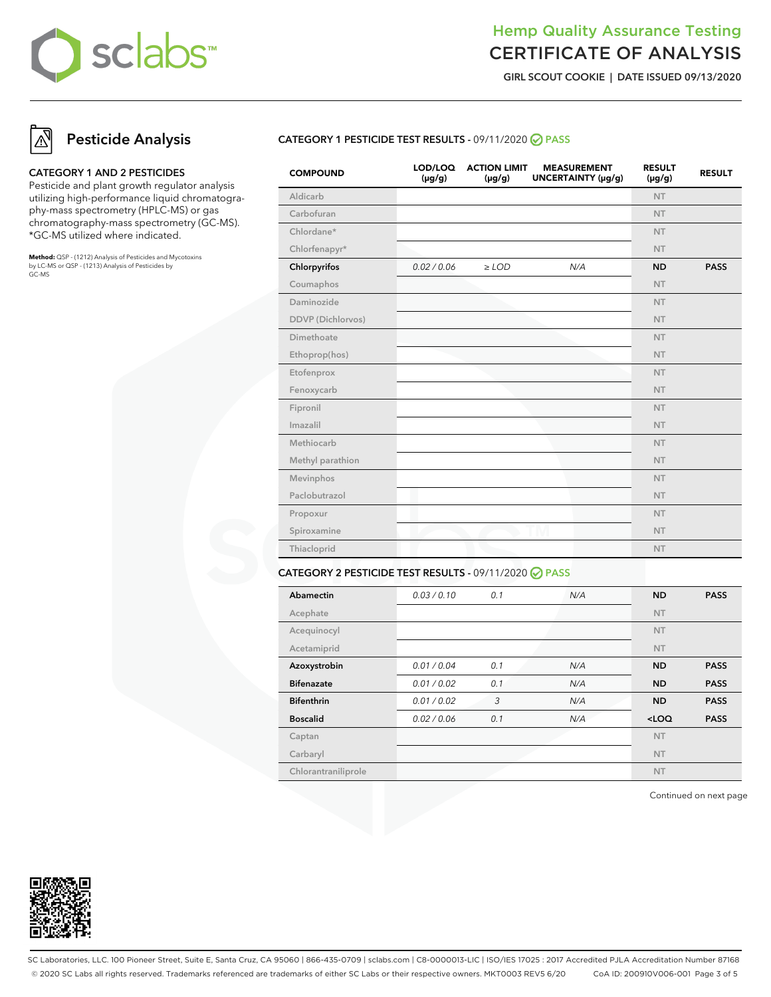

**GIRL SCOUT COOKIE | DATE ISSUED 09/13/2020**

## **Pesticide Analysis**

#### **CATEGORY 1 AND 2 PESTICIDES**

Pesticide and plant growth regulator analysis utilizing high-performance liquid chromatography-mass spectrometry (HPLC-MS) or gas chromatography-mass spectrometry (GC-MS). \*GC-MS utilized where indicated.

**Method:** QSP - (1212) Analysis of Pesticides and Mycotoxins by LC-MS or QSP - (1213) Analysis of Pesticides by GC-MS

#### **CATEGORY 1 PESTICIDE TEST RESULTS -** 09/11/2020 **PASS**

| <b>COMPOUND</b>   | LOD/LOQ<br>$(\mu g/g)$ | <b>ACTION LIMIT</b><br>$(\mu g/g)$ | <b>MEASUREMENT</b><br>UNCERTAINTY (µg/g) | <b>RESULT</b><br>$(\mu g/g)$ | <b>RESULT</b> |
|-------------------|------------------------|------------------------------------|------------------------------------------|------------------------------|---------------|
| Aldicarb          |                        |                                    |                                          | <b>NT</b>                    |               |
| Carbofuran        |                        |                                    |                                          | <b>NT</b>                    |               |
| Chlordane*        |                        |                                    |                                          | <b>NT</b>                    |               |
| Chlorfenapyr*     |                        |                                    |                                          | <b>NT</b>                    |               |
| Chlorpyrifos      | 0.02 / 0.06            | $\ge$ LOD                          | N/A                                      | <b>ND</b>                    | <b>PASS</b>   |
| Coumaphos         |                        |                                    |                                          | <b>NT</b>                    |               |
| Daminozide        |                        |                                    |                                          | <b>NT</b>                    |               |
| DDVP (Dichlorvos) |                        |                                    |                                          | <b>NT</b>                    |               |
| Dimethoate        |                        |                                    |                                          | <b>NT</b>                    |               |
| Ethoprop(hos)     |                        |                                    |                                          | <b>NT</b>                    |               |
| Etofenprox        |                        |                                    |                                          | <b>NT</b>                    |               |
| Fenoxycarb        |                        |                                    |                                          | <b>NT</b>                    |               |
| Fipronil          |                        |                                    |                                          | <b>NT</b>                    |               |
| Imazalil          |                        |                                    |                                          | <b>NT</b>                    |               |
| Methiocarb        |                        |                                    |                                          | <b>NT</b>                    |               |
| Methyl parathion  |                        |                                    |                                          | <b>NT</b>                    |               |
| Mevinphos         |                        |                                    |                                          | <b>NT</b>                    |               |
| Paclobutrazol     |                        |                                    |                                          | <b>NT</b>                    |               |
| Propoxur          |                        |                                    |                                          | <b>NT</b>                    |               |
| Spiroxamine       |                        |                                    |                                          | <b>NT</b>                    |               |
| Thiacloprid       |                        |                                    |                                          | <b>NT</b>                    |               |
|                   |                        |                                    |                                          |                              |               |

#### **CATEGORY 2 PESTICIDE TEST RESULTS -** 09/11/2020 **PASS**

| Abamectin           | 0.03/0.10   | 0.1 | N/A | <b>ND</b> | <b>PASS</b> |
|---------------------|-------------|-----|-----|-----------|-------------|
| Acephate            |             |     |     | <b>NT</b> |             |
| Acequinocyl         |             |     |     | <b>NT</b> |             |
| Acetamiprid         |             |     |     | <b>NT</b> |             |
| Azoxystrobin        | 0.01 / 0.04 | 0.1 | N/A | <b>ND</b> | <b>PASS</b> |
| <b>Bifenazate</b>   | 0.01 / 0.02 | 0.1 | N/A | <b>ND</b> | <b>PASS</b> |
| <b>Bifenthrin</b>   | 0.01 / 0.02 | 3   | N/A | <b>ND</b> | <b>PASS</b> |
| <b>Boscalid</b>     | 0.02 / 0.06 | 0.1 | N/A | $<$ LOQ   | <b>PASS</b> |
| Captan              |             |     |     | <b>NT</b> |             |
| Carbaryl            |             |     |     | <b>NT</b> |             |
| Chlorantraniliprole |             |     |     | <b>NT</b> |             |

Continued on next page



SC Laboratories, LLC. 100 Pioneer Street, Suite E, Santa Cruz, CA 95060 | 866-435-0709 | sclabs.com | C8-0000013-LIC | ISO/IES 17025 : 2017 Accredited PJLA Accreditation Number 87168 © 2020 SC Labs all rights reserved. Trademarks referenced are trademarks of either SC Labs or their respective owners. MKT0003 REV5 6/20 CoA ID: 200910V006-001 Page 3 of 5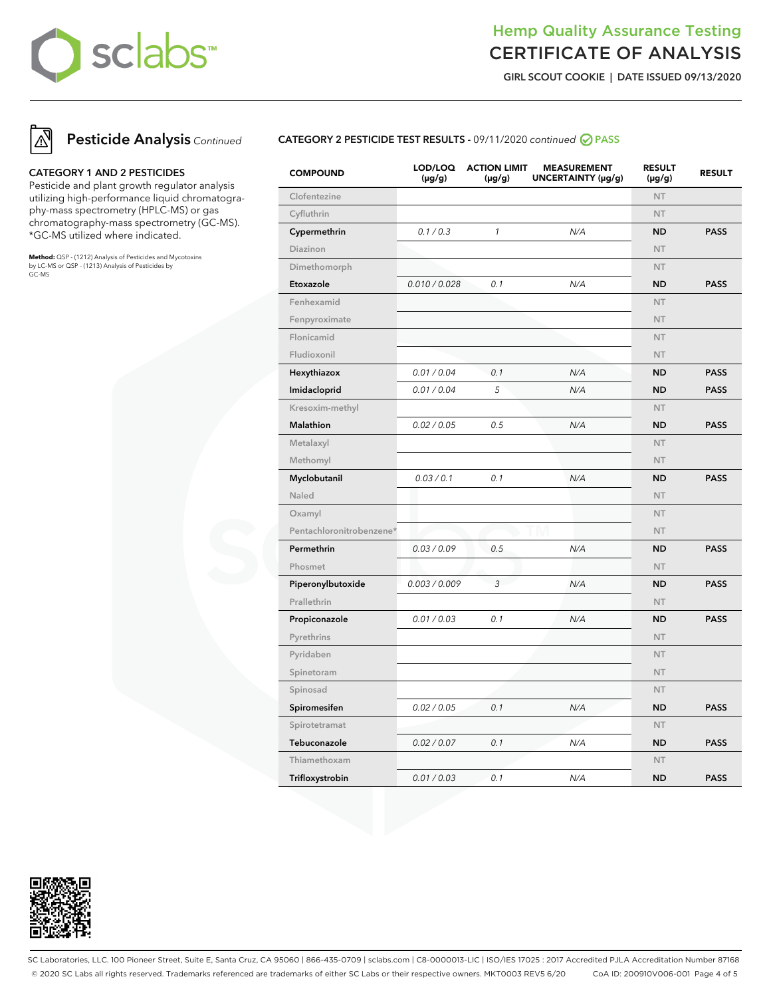

**GIRL SCOUT COOKIE | DATE ISSUED 09/13/2020**



#### **CATEGORY 1 AND 2 PESTICIDES**

Pesticide and plant growth regulator analysis utilizing high-performance liquid chromatography-mass spectrometry (HPLC-MS) or gas chromatography-mass spectrometry (GC-MS). \*GC-MS utilized where indicated.

**Method:** QSP - (1212) Analysis of Pesticides and Mycotoxins by LC-MS or QSP - (1213) Analysis of Pesticides by GC-MS



| <b>COMPOUND</b>          | LOD/LOQ<br>$(\mu g/g)$ | <b>ACTION LIMIT</b><br>(µg/g) | <b>MEASUREMENT</b><br>UNCERTAINTY (µg/g) | <b>RESULT</b><br>(µg/g) | <b>RESULT</b> |
|--------------------------|------------------------|-------------------------------|------------------------------------------|-------------------------|---------------|
| Clofentezine             |                        |                               |                                          | <b>NT</b>               |               |
| Cyfluthrin               |                        |                               |                                          | <b>NT</b>               |               |
| Cypermethrin             | 0.1 / 0.3              | $\mathcal{I}$                 | N/A                                      | <b>ND</b>               | <b>PASS</b>   |
| Diazinon                 |                        |                               |                                          | <b>NT</b>               |               |
| Dimethomorph             |                        |                               |                                          | <b>NT</b>               |               |
| Etoxazole                | 0.010 / 0.028          | 0.1                           | N/A                                      | <b>ND</b>               | <b>PASS</b>   |
| Fenhexamid               |                        |                               |                                          | NT                      |               |
| Fenpyroximate            |                        |                               |                                          | <b>NT</b>               |               |
| Flonicamid               |                        |                               |                                          | <b>NT</b>               |               |
| Fludioxonil              |                        |                               |                                          | <b>NT</b>               |               |
| Hexythiazox              | 0.01 / 0.04            | 0.1                           | N/A                                      | <b>ND</b>               | <b>PASS</b>   |
| Imidacloprid             | 0.01 / 0.04            | 5                             | N/A                                      | <b>ND</b>               | <b>PASS</b>   |
| Kresoxim-methyl          |                        |                               |                                          | <b>NT</b>               |               |
| <b>Malathion</b>         | 0.02 / 0.05            | 0.5                           | N/A                                      | <b>ND</b>               | <b>PASS</b>   |
| Metalaxyl                |                        |                               |                                          | <b>NT</b>               |               |
| Methomyl                 |                        |                               |                                          | <b>NT</b>               |               |
| Myclobutanil             | 0.03 / 0.1             | 0.1                           | N/A                                      | ND                      | <b>PASS</b>   |
| Naled                    |                        |                               |                                          | <b>NT</b>               |               |
| Oxamyl                   |                        |                               |                                          | <b>NT</b>               |               |
| Pentachloronitrobenzene* |                        |                               |                                          | <b>NT</b>               |               |
| Permethrin               | 0.03 / 0.09            | 0.5                           | N/A                                      | <b>ND</b>               | <b>PASS</b>   |
| Phosmet                  |                        |                               |                                          | <b>NT</b>               |               |
| Piperonylbutoxide        | 0.003 / 0.009          | 3                             | N/A                                      | <b>ND</b>               | <b>PASS</b>   |
| Prallethrin              |                        |                               |                                          | <b>NT</b>               |               |
| Propiconazole            | 0.01 / 0.03            | 0.1                           | N/A                                      | <b>ND</b>               | <b>PASS</b>   |
| Pyrethrins               |                        |                               |                                          | <b>NT</b>               |               |
| Pyridaben                |                        |                               |                                          | <b>NT</b>               |               |
| Spinetoram               |                        |                               |                                          | <b>NT</b>               |               |
| Spinosad                 |                        |                               |                                          | <b>NT</b>               |               |
| Spiromesifen             | 0.02 / 0.05            | 0.1                           | N/A                                      | <b>ND</b>               | <b>PASS</b>   |
| Spirotetramat            |                        |                               |                                          | <b>NT</b>               |               |
| Tebuconazole             | 0.02 / 0.07            | 0.1                           | N/A                                      | <b>ND</b>               | <b>PASS</b>   |
| Thiamethoxam             |                        |                               |                                          | <b>NT</b>               |               |
| Trifloxystrobin          | 0.01 / 0.03            | 0.1                           | N/A                                      | ND                      | <b>PASS</b>   |



SC Laboratories, LLC. 100 Pioneer Street, Suite E, Santa Cruz, CA 95060 | 866-435-0709 | sclabs.com | C8-0000013-LIC | ISO/IES 17025 : 2017 Accredited PJLA Accreditation Number 87168 © 2020 SC Labs all rights reserved. Trademarks referenced are trademarks of either SC Labs or their respective owners. MKT0003 REV5 6/20 CoA ID: 200910V006-001 Page 4 of 5